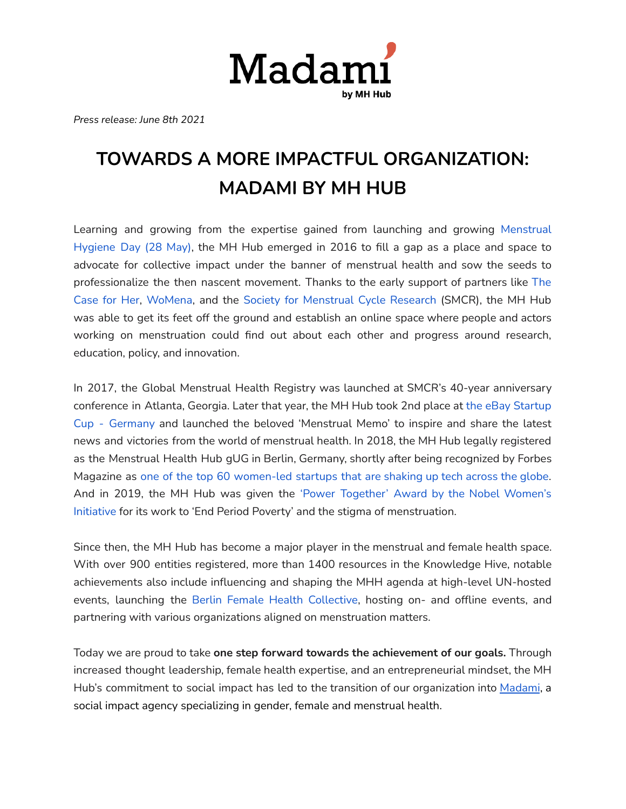

*Press release: June 8th 2021*

## **TOWARDS A MORE IMPACTFUL ORGANIZATION: MADAMI BY MH HUB**

Learning and growing from the expertise gained from launching and growing [Menstrual](https://menstrualhygieneday.org/resources-on-mhm/menstruationmatters/) [Hygiene](https://menstrualhygieneday.org/resources-on-mhm/menstruationmatters/) Day (28 May), the MH Hub emerged in 2016 to fill a gap as a place and space to advocate for collective impact under the banner of menstrual health and sow the seeds to professionalize the then nascent movement. Thanks to the early support of partners like [The](https://thecaseforher.com/) [Case](https://thecaseforher.com/) for Her, [WoMena](https://womena.com/), and the Society for [Menstrual](https://www.menstruationresearch.org/) Cycle Research (SMCR), the MH Hub was able to get its feet off the ground and establish an online space where people and actors working on menstruation could find out about each other and progress around research, education, policy, and innovation.

In 2017, the Global Menstrual Health Registry was launched at SMCR's 40-year anniversary conference in Atlanta, Georgia. Later that year, the MH Hub took 2nd place at the eBay [Startup](http://test.enpact.org/meet-the-winners-of-berlin-startup-cup-2017/) Cup - [Germany](http://test.enpact.org/meet-the-winners-of-berlin-startup-cup-2017/) and launched the beloved 'Menstrual Memo' to inspire and share the latest news and victories from the world of menstrual health. In 2018, the MH Hub legally registered as the Menstrual Health Hub gUG in Berlin, Germany, shortly after being recognized by Forbes Magazine as one of the top 60 [women-led](https://www.forbes.com/sites/allysonkapin/2018/09/19/60-women-led-startups-who-are-shaking-up-tech-across-the-globe/?sh=711a1db875da) startups that are shaking up tech across the globe. And in 2019, the MH Hub was given the 'Power [Together'](https://reykjavikforum.global/power-together-awards-2019-winners-announced/) Award by the Nobel Women's [Initiative](https://reykjavikforum.global/power-together-awards-2019-winners-announced/) for its work to 'End Period Poverty' and the stigma of menstruation.

Since then, the MH Hub has become a major player in the menstrual and female health space. With over 900 entities registered, more than 1400 resources in the Knowledge Hive, notable achievements also include influencing and shaping the MHH agenda at high-level UN-hosted events, launching the Berlin Female Health [Collective](https://www.facebook.com/groups/420324021700855/), hosting on- and offline events, and partnering with various organizations aligned on menstruation matters.

Today we are proud to take **one step forward towards the achievement of our goals.** Through increased thought leadership, female health expertise, and an entrepreneurial mindset, the MH Hub's commitment to social impact has led to the transition of our organization into [Madami](http://www.madami.co), a social impact agency specializing in gender, female and menstrual health.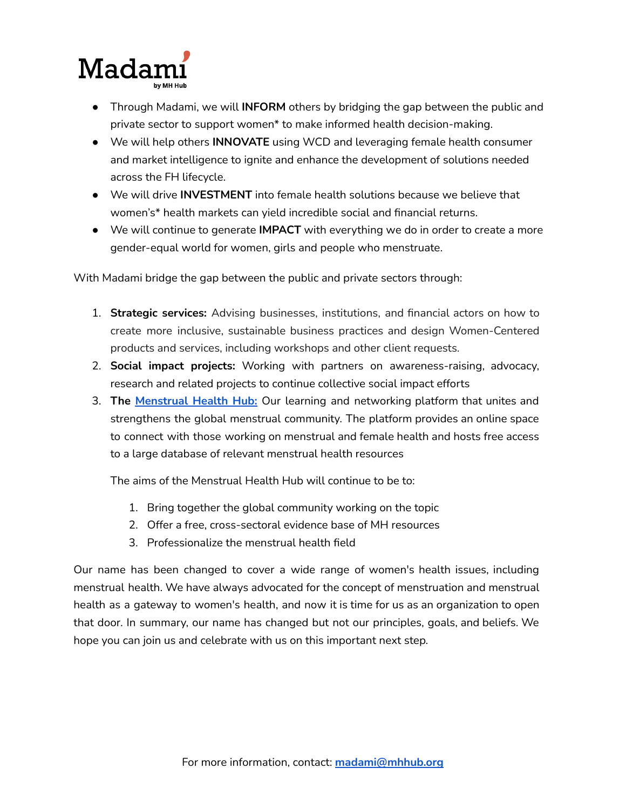

- Through Madami, we will **INFORM** others by bridging the gap between the public and private sector to support women\* to make informed health decision-making.
- We will help others **INNOVATE** using WCD and leveraging female health consumer and market intelligence to ignite and enhance the development of solutions needed across the FH lifecycle.
- We will drive **INVESTMENT** into female health solutions because we believe that women's\* health markets can yield incredible social and financial returns.
- We will continue to generate **IMPACT** with everything we do in order to create a more gender-equal world for women, girls and people who menstruate.

With Madami bridge the gap between the public and private sectors through:

- 1. **Strategic services:** Advising businesses, institutions, and financial actors on how to create more inclusive, sustainable business practices and design Women-Centered products and services, including workshops and other client requests.
- 2. **Social impact projects:** Working with partners on awareness-raising, advocacy, research and related projects to continue collective social impact efforts
- 3. **The [Menstrual](http://www.mhhub.org) Health Hub:** Our learning and networking platform that unites and strengthens the global menstrual community. The platform provides an online space to connect with those working on menstrual and female health and hosts free access to a large database of relevant menstrual health resources

The aims of the Menstrual Health Hub will continue to be to:

- 1. Bring together the global community working on the topic
- 2. Offer a free, cross-sectoral evidence base of MH resources
- 3. Professionalize the menstrual health field

Our name has been changed to cover a wide range of women's health issues, including menstrual health. We have always advocated for the concept of menstruation and menstrual health as a gateway to women's health, and now it is time for us as an organization to open that door. In summary, our name has changed but not our principles, goals, and beliefs. We hope you can join us and celebrate with us on this important next step.